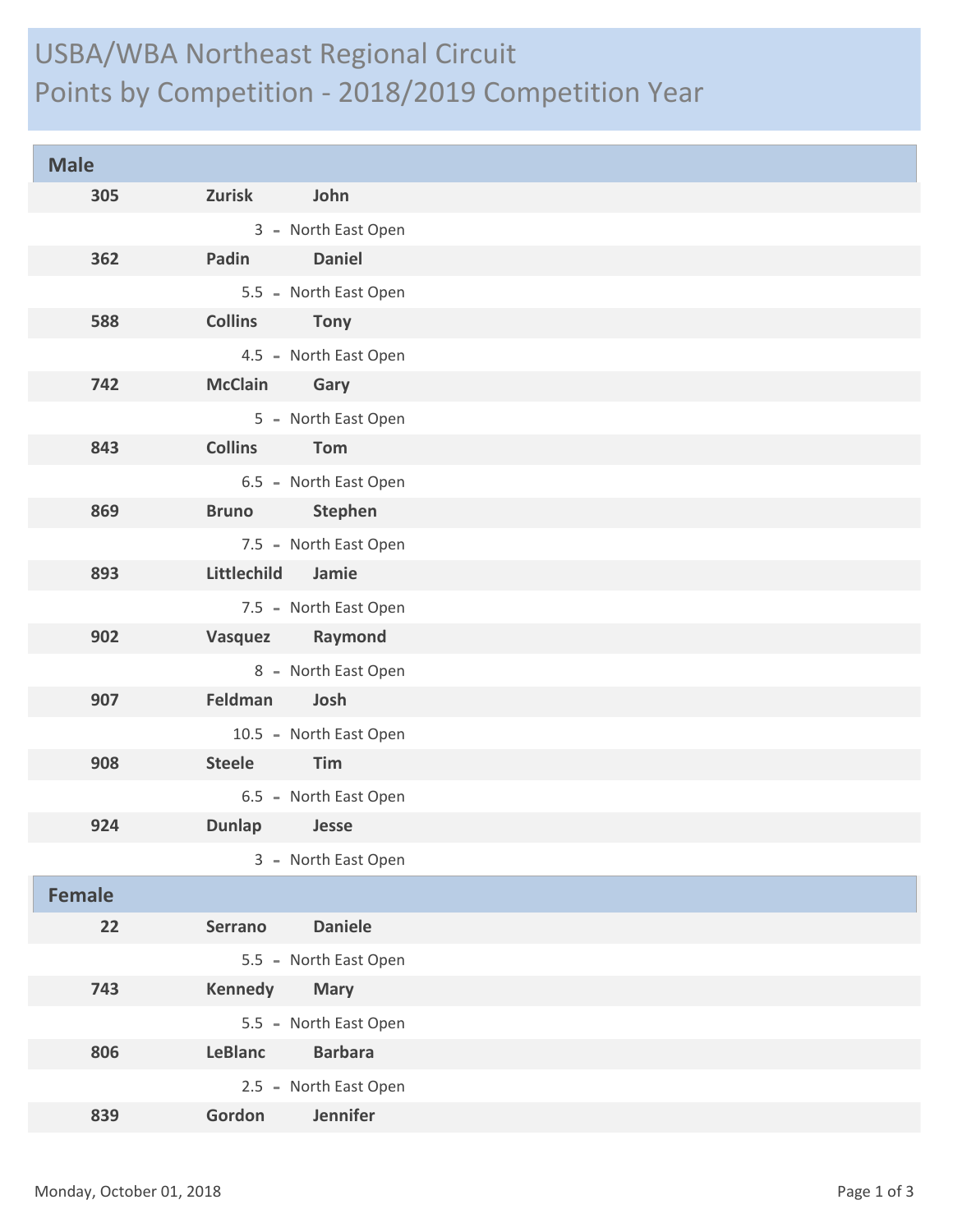## USBA/WBA Northeast Regional Circuit Points by Competition - 2018/2019 Competition Year

| <b>Male</b>   |                                  |
|---------------|----------------------------------|
| 305           | John<br><b>Zurisk</b>            |
|               | 3 - North East Open              |
| 362           | <b>Daniel</b><br>Padin           |
|               | 5.5 - North East Open            |
| 588           | <b>Collins</b><br><b>Tony</b>    |
|               | 4.5 - North East Open            |
| 742           | <b>McClain</b><br><b>Gary</b>    |
|               | 5 - North East Open              |
| 843           | <b>Collins</b><br>Tom            |
|               | 6.5 - North East Open            |
| 869           | <b>Stephen</b><br><b>Bruno</b>   |
|               | 7.5 - North East Open            |
| 893           | Littlechild<br>Jamie             |
|               | 7.5 - North East Open            |
| 902           | Raymond<br>Vasquez               |
|               | 8 - North East Open              |
| 907           | Feldman<br>Josh                  |
|               | 10.5 - North East Open           |
| 908           | Steele<br>Tim                    |
|               | 6.5 - North East Open            |
| 924           | Dunlap<br>Jesse                  |
|               | 3 - North East Open              |
| <b>Female</b> |                                  |
| 22            | <b>Daniele</b><br><b>Serrano</b> |
|               | 5.5 - North East Open            |
| 743           | <b>Kennedy</b><br><b>Mary</b>    |
|               | 5.5 - North East Open            |
| 806           | <b>Barbara</b><br><b>LeBlanc</b> |
|               | 2.5 - North East Open            |
| 839           | Jennifer<br>Gordon               |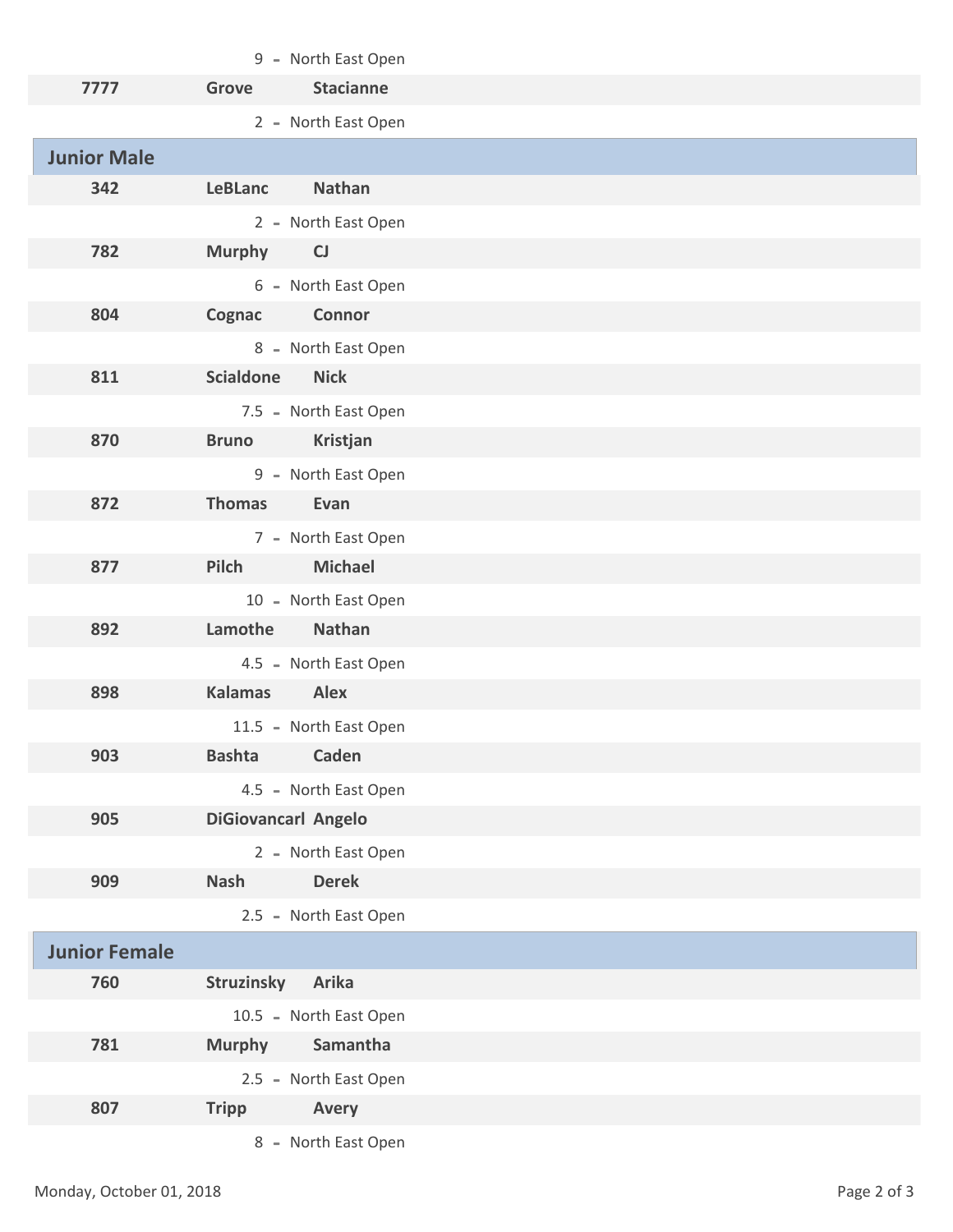|                      | 9 - North East Open              |
|----------------------|----------------------------------|
| 7777                 | <b>Stacianne</b><br><b>Grove</b> |
|                      | 2 - North East Open              |
| <b>Junior Male</b>   |                                  |
| 342                  | <b>Nathan</b><br><b>LeBLanc</b>  |
|                      | 2 - North East Open              |
| 782                  | <b>Murphy</b><br>CJ              |
|                      | 6 - North East Open              |
| 804                  | Connor<br>Cognac                 |
|                      | 8 - North East Open              |
| 811                  | <b>Scialdone</b><br><b>Nick</b>  |
|                      | 7.5 - North East Open            |
| 870                  | <b>Bruno</b><br>Kristjan         |
|                      | 9 - North East Open              |
| 872                  | <b>Thomas</b><br>Evan            |
|                      | 7 - North East Open              |
| 877                  | <b>Michael</b><br>Pilch          |
|                      | 10 - North East Open             |
| 892                  | Lamothe<br><b>Nathan</b>         |
|                      | 4.5 - North East Open            |
| 898                  | <b>Alex</b><br><b>Kalamas</b>    |
|                      | 11.5 - North East Open           |
| 903                  | <b>Bashta</b><br>Caden           |
|                      | 4.5 - North East Open            |
| 905                  | DiGiovancarl Angelo              |
|                      | 2 - North East Open              |
| 909                  | <b>Derek</b><br><b>Nash</b>      |
|                      | 2.5 - North East Open            |
| <b>Junior Female</b> |                                  |
| 760                  | Struzinsky<br><b>Arika</b>       |
|                      | 10.5 - North East Open           |
| 781                  | <b>Murphy</b><br>Samantha        |
|                      | 2.5 - North East Open            |
| 807                  | Avery<br><b>Tripp</b>            |
|                      | 8 - North East Open              |